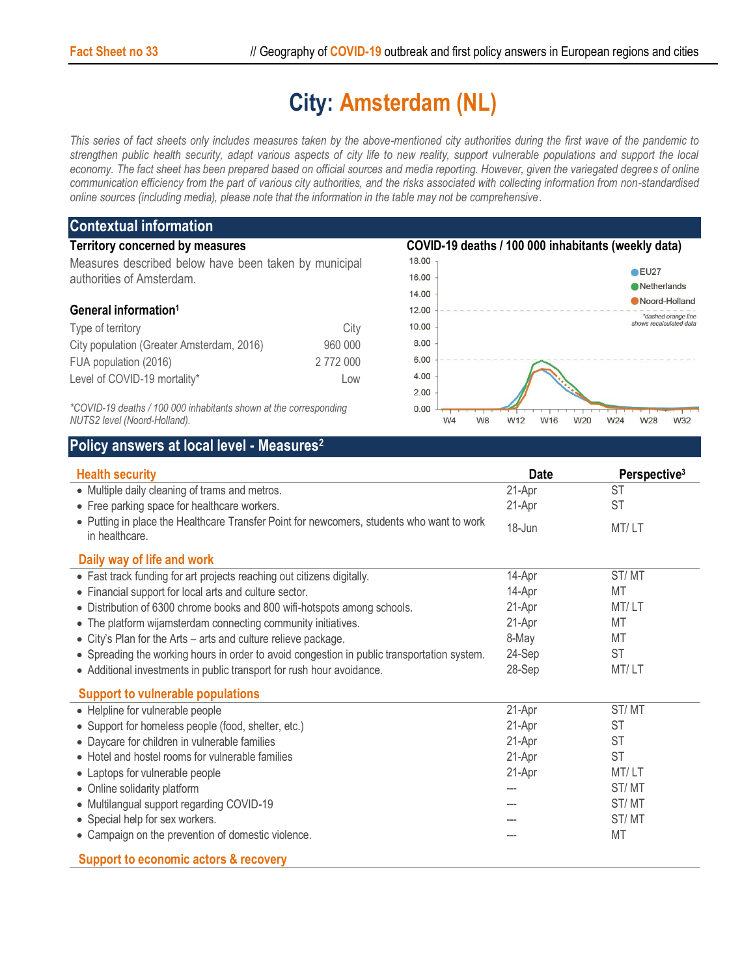## **City: Amsterdam (NL)**

*This series of fact sheets only includes measures taken by the above-mentioned city authorities during the first wave of the pandemic to strengthen public health security, adapt various aspects of city life to new reality, support vulnerable populations and support the local economy. The fact sheet has been prepared based on official sources and media reporting. However, given the variegated degrees of online communication efficiency from the part of various city authorities, and the risks associated with collecting information from non-standardised online sources (including media), please note that the information in the table may not be comprehensive*.

| <b>Contextual information</b>                                                                     |           |                                                     |                              |  |  |  |
|---------------------------------------------------------------------------------------------------|-----------|-----------------------------------------------------|------------------------------|--|--|--|
| <b>Territory concerned by measures</b>                                                            |           | COVID-19 deaths / 100 000 inhabitants (weekly data) |                              |  |  |  |
| Measures described below have been taken by municipal<br>authorities of Amsterdam.                |           | 18.00                                               |                              |  |  |  |
|                                                                                                   |           | 16.00                                               | $\bullet$ EU27               |  |  |  |
|                                                                                                   |           | 14.00                                               | Netherlands<br>Noord-Holland |  |  |  |
| General information <sup>1</sup>                                                                  |           | 12.00                                               | *dashed orange line          |  |  |  |
| Type of territory                                                                                 | City      | 10.00                                               | shows recalculated data      |  |  |  |
| City population (Greater Amsterdam, 2016)                                                         | 960 000   | 8.00                                                |                              |  |  |  |
| FUA population (2016)                                                                             | 2 772 000 | 6.00                                                |                              |  |  |  |
| Level of COVID-19 mortality*                                                                      | LOW       | 4.00                                                |                              |  |  |  |
|                                                                                                   |           | 2.00                                                |                              |  |  |  |
| *COVID-19 deaths / 100 000 inhabitants shown at the corresponding<br>NUTS2 level (Noord-Holland). |           | 0.00<br>W4<br>W <sub>8</sub><br>W12<br>W16          | W24<br>W28<br>W32<br>W20     |  |  |  |

*NUTS2 level (Noord-Holland).*

## **Policy answers at local level - Measures<sup>2</sup>**

| <b>Health security</b>                                                                                      | <b>Date</b> | Perspective <sup>3</sup> |
|-------------------------------------------------------------------------------------------------------------|-------------|--------------------------|
| • Multiple daily cleaning of trams and metros.                                                              | 21-Apr      | ST                       |
| • Free parking space for healthcare workers.                                                                | 21-Apr      | <b>ST</b>                |
| • Putting in place the Healthcare Transfer Point for newcomers, students who want to work<br>in healthcare. | 18-Jun      | MT/LT                    |
| Daily way of life and work                                                                                  |             |                          |
| • Fast track funding for art projects reaching out citizens digitally.                                      | 14-Apr      | ST/MT                    |
| • Financial support for local arts and culture sector.                                                      | 14-Apr      | MT                       |
| • Distribution of 6300 chrome books and 800 wifi-hotspots among schools.                                    | 21-Apr      | MT/LT                    |
| • The platform wijamsterdam connecting community initiatives.                                               | 21-Apr      | MT                       |
| • City's Plan for the Arts - arts and culture relieve package.                                              | 8-May       | MT                       |
| • Spreading the working hours in order to avoid congestion in public transportation system.                 | 24-Sep      | <b>ST</b>                |
| • Additional investments in public transport for rush hour avoidance.                                       | 28-Sep      | MT/LT                    |
| <b>Support to vulnerable populations</b>                                                                    |             |                          |
| • Helpline for vulnerable people                                                                            | 21-Apr      | ST/MT                    |
| • Support for homeless people (food, shelter, etc.)                                                         | 21-Apr      | <b>ST</b>                |
| • Daycare for children in vulnerable families                                                               | 21-Apr      | ST                       |
| • Hotel and hostel rooms for vulnerable families                                                            | 21-Apr      | <b>ST</b>                |
| • Laptops for vulnerable people                                                                             | 21-Apr      | MT/LT                    |
| • Online solidarity platform                                                                                | ---         | ST/MT                    |
| • Multilangual support regarding COVID-19                                                                   | ---         | ST/MT                    |
| • Special help for sex workers.                                                                             |             | ST/MT                    |
| • Campaign on the prevention of domestic violence.                                                          |             | MT                       |
| <b>Support to economic actors &amp; recovery</b>                                                            |             |                          |